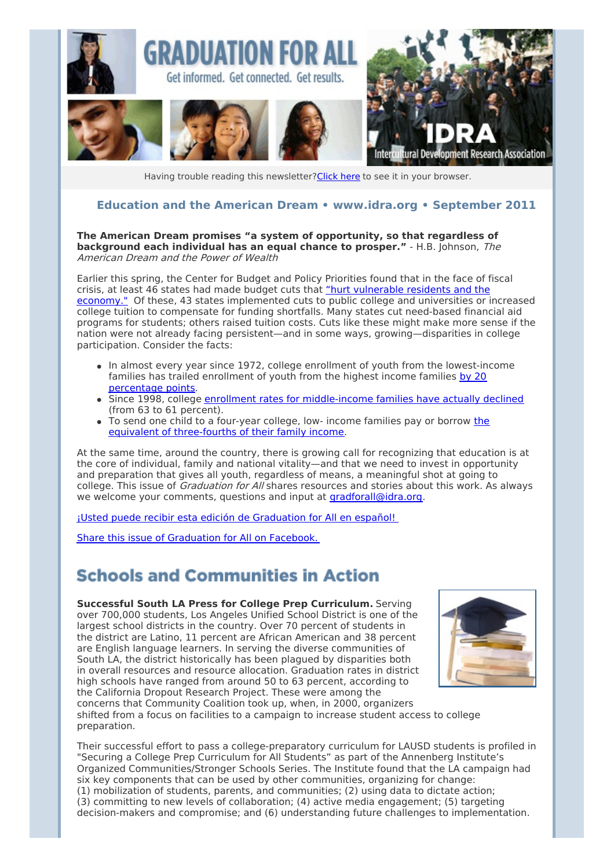

Having trouble reading this newsletter? Click here to see it in your browser.

#### **Education and the American Dream • [www.idra.org](http://newsletter.impulsedevelopment.com/t/1/l/ttjddkk/l/www.idra.org) • September 2011**

#### **The American Dream promises "a system of opportunity, so that regardless of background each individual has an equal chance to prosper."** - H.B. Johnson, The American Dream and the Power of Wealth

Earlier this spring, the Center for Budget and Policy Priorities found that in the face of fiscal crisis, at least 46 states had made budget cuts that "hurt vulnerable residents and the economy." Of these, 43 states [implemented](http://newsletter.impulsedevelopment.com/t/r/l/ttjddkk/l/j/) cuts to public college and universities or increased college tuition to compensate for funding shortfalls. Many states cut need-based financial aid programs for students; others raised tuition costs. Cuts like these might make more sense if the nation were not already facing persistent—and in some ways, growing—disparities in college participation. Consider the facts:

- In almost every year since 1972, college enrollment of youth from the lowest-income families has trailed enrollment of youth from the highest income families by 20 [percentage](http://newsletter.impulsedevelopment.com/t/r/l/ttjddkk/l/t/) points.
- Since 1998, college enrollment rates for [middle-income](http://newsletter.impulsedevelopment.com/t/r/l/ttjddkk/l/i/) families have actually declined (from 63 to 61 percent).
- To send one child to a four-year college, low- income families pay or borrow the equivalent of [three-fourths](http://newsletter.impulsedevelopment.com/t/r/l/ttjddkk/l/d/) of their family income.

At the same time, around the country, there is growing call for recognizing that education is at the core of individual, family and national vitality—and that we need to invest in opportunity and preparation that gives all youth, regardless of means, a meaningful shot at going to college. This issue of *Graduation for All* shares resources and stories about this work. As always we welcome your comments, questions and input at [gradforall@idra.org](mailto:gradforall@idra.org?subject=Graduation for All%3A Education and the American Dream).

¡Usted puede recibir esta edición de [Graduation](http://newsletter.impulsedevelopment.com/t/r/l/ttjddkk/l/h/) for All en español!

Share this issue of [Graduation](/t/r/fb/ttjddkk/l/yd/?act=wv) for All on Facebook.

## **Schools and Communities in Action**

**Successful South LA Press for College Prep Curriculum.** Serving over 700,000 students, Los Angeles Unified School District is one of the largest school districts in the country. Over 70 percent of students in the district are Latino, 11 percent are African American and 38 percent are English language learners. In serving the diverse communities of South LA, the district historically has been plagued by disparities both in overall resources and resource allocation. Graduation rates in district high schools have ranged from around 50 to 63 percent, according to the California Dropout Research Project. These were among the concerns that Community Coalition took up, when, in 2000, organizers shifted from a focus on facilities to a campaign to increase student access to college preparation.



Their successful effort to pass a college-preparatory curriculum for LAUSD students is profiled in "Securing a College Prep Curriculum for All Students" as part of the Annenberg Institute's Organized Communities/Stronger Schools Series. The Institute found that the LA campaign had six key components that can be used by other communities, organizing for change: (1) mobilization of students, parents, and communities; (2) using data to dictate action; (3) committing to new levels of collaboration; (4) active media engagement; (5) targeting decision-makers and compromise; and (6) understanding future challenges to implementation.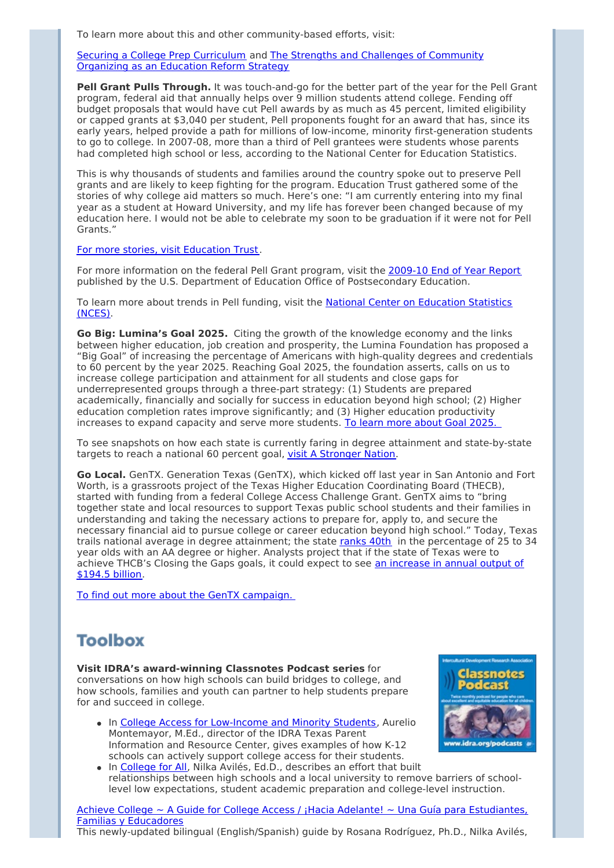To learn more about this and other community-based efforts, visit:

Securing a College Prep [Curriculum](http://newsletter.impulsedevelopment.com/t/r/l/ttjddkk/l/k/) and The Strengths and Challenges of [Community](http://newsletter.impulsedevelopment.com/t/r/l/ttjddkk/l/u/) Organizing as an Education Reform Strategy

**Pell Grant Pulls Through.** It was touch-and-go for the better part of the year for the Pell Grant program, federal aid that annually helps over 9 million students attend college. Fending off budget proposals that would have cut Pell awards by as much as 45 percent, limited eligibility or capped grants at \$3,040 per student, Pell proponents fought for an award that has, since its early years, helped provide a path for millions of low-income, minority first-generation students to go to college. In 2007-08, more than a third of Pell grantees were students whose parents had completed high school or less, according to the National Center for Education Statistics.

This is why thousands of students and families around the country spoke out to preserve Pell grants and are likely to keep fighting for the program. Education Trust gathered some of the stories of why college aid matters so much. Here's one: "I am currently entering into my final year as a student at Howard University, and my life has forever been changed because of my education here. I would not be able to celebrate my soon to be graduation if it were not for Pell Grants."

For more stories, visit [Education](http://newsletter.impulsedevelopment.com/t/r/l/ttjddkk/l/o/) Trust.

For more information on the federal Pell Grant program, visit the [2009-10](http://newsletter.impulsedevelopment.com/t/r/l/ttjddkk/l/b/) End of Year Report published by the U.S. Department of Education Office of Postsecondary Education.

To learn more about trends in Pell funding, visit the National Center on [Education](http://newsletter.impulsedevelopment.com/t/r/l/ttjddkk/l/n/) Statistics (NCES).

**Go Big: Lumina's Goal 2025.** Citing the growth of the knowledge economy and the links between higher education, job creation and prosperity, the Lumina Foundation has proposed a "Big Goal" of increasing the percentage of Americans with high-quality degrees and credentials to 60 percent by the year 2025. Reaching Goal 2025, the foundation asserts, calls on us to increase college participation and attainment for all students and close gaps for underrepresented groups through a three-part strategy: (1) Students are prepared academically, financially and socially for success in education beyond high school; (2) Higher education completion rates improve significantly; and (3) Higher education productivity increases to expand capacity and serve more students. To learn more [about](http://newsletter.impulsedevelopment.com/t/r/l/ttjddkk/l/p/) Goal 2025.

To see snapshots on how each state is currently faring in degree attainment and state-by-state targets to reach a national 60 percent goal, visit A [Stronger](http://newsletter.impulsedevelopment.com/t/r/l/ttjddkk/l/x/) Nation.

**Go Local.** GenTX. Generation Texas (GenTX), which kicked off last year in San Antonio and Fort Worth, is a grassroots project of the Texas Higher Education Coordinating Board (THECB), started with funding from a federal College Access Challenge Grant. GenTX aims to "bring together state and local resources to support Texas public school students and their families in understanding and taking the necessary actions to prepare for, apply to, and secure the necessary financial aid to pursue college or career education beyond high school." Today, Texas trails national average in degree attainment; the state [ranks](http://newsletter.impulsedevelopment.com/t/r/l/ttjddkk/l/m/) 40th in the percentage of 25 to 34 year olds with an AA degree or higher. Analysts project that if the state of Texas were to achieve THCB's Closing the Gaps goals, it could expect to see an [increase](http://newsletter.impulsedevelopment.com/t/r/l/ttjddkk/l/c/) in annual output of \$194.5 billion.

To find out more about the GenTX [campaign.](http://newsletter.impulsedevelopment.com/t/r/l/ttjddkk/l/q/)

# **Toolbox**

**Visit IDRA's award-winning Classnotes Podcast series** for conversations on how high schools can build bridges to college, and how schools, families and youth can partner to help students prepare for and succeed in college.

• In College Access for [Low-Income](http://newsletter.impulsedevelopment.com/t/r/l/ttjddkk/l/a/) and Minority Students, Aurelio Montemayor, M.Ed., director of the IDRA Texas Parent Information and Resource Center, gives examples of how K-12 schools can actively support college access for their students.



• In [College](http://newsletter.impulsedevelopment.com/t/r/l/ttjddkk/l/f/) for All, Nilka Avilés, Ed.D., describes an effort that built relationships between high schools and a local university to remove barriers of schoollevel low expectations, student academic preparation and college-level instruction.

Achieve College ~ A Guide for College Access / ¡Hacia Adelante! ~ Una Guía para [Estudiantes,](http://newsletter.impulsedevelopment.com/t/r/l/ttjddkk/l/z/) Familias y Educadores

This newly-updated bilingual (English/Spanish) guide by Rosana Rodríguez, Ph.D., Nilka Avilés,